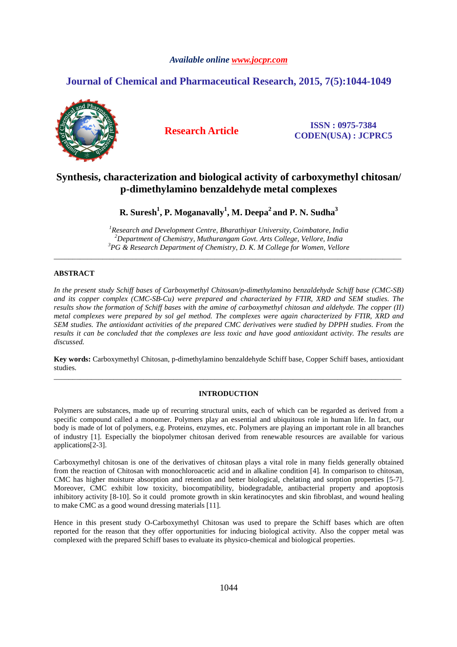# *Available online www.jocpr.com*

# **Journal of Chemical and Pharmaceutical Research, 2015, 7(5):1044-1049**



**Research Article ISSN : 0975-7384 CODEN(USA) : JCPRC5**

# **Synthesis, characterization and biological activity of carboxymethyl chitosan/ p-dimethylamino benzaldehyde metal complexes**

**R. Suresh<sup>1</sup> , P. Moganavally<sup>1</sup> , M. Deepa<sup>2</sup>and P. N. Sudha<sup>3</sup>**

*<sup>1</sup>Research and Development Centre, Bharathiyar University, Coimbatore, India <sup>2</sup>Department of Chemistry, Muthurangam Govt. Arts College, Vellore, India <sup>3</sup>PG & Research Department of Chemistry, D. K. M College for Women, Vellore*

\_\_\_\_\_\_\_\_\_\_\_\_\_\_\_\_\_\_\_\_\_\_\_\_\_\_\_\_\_\_\_\_\_\_\_\_\_\_\_\_\_\_\_\_\_\_\_\_\_\_\_\_\_\_\_\_\_\_\_\_\_\_\_\_\_\_\_\_\_\_\_\_\_\_\_\_\_\_\_\_\_\_\_\_\_\_\_\_\_\_\_\_\_

# **ABSTRACT**

*In the present study Schiff bases of Carboxymethyl Chitosan/p-dimethylamino benzaldehyde Schiff base (CMC-SB) and its copper complex (CMC-SB-Cu) were prepared and characterized by FTIR, XRD and SEM studies. The results show the formation of Schiff bases with the amine of carboxymethyl chitosan and aldehyde. The copper (II) metal complexes were prepared by sol gel method. The complexes were again characterized by FTIR, XRD and SEM studies. The antioxidant activities of the prepared CMC derivatives were studied by DPPH studies. From the results it can be concluded that the complexes are less toxic and have good antioxidant activity. The results are discussed.* 

**Key words:** Carboxymethyl Chitosan, p-dimethylamino benzaldehyde Schiff base, Copper Schiff bases, antioxidant studies. \_\_\_\_\_\_\_\_\_\_\_\_\_\_\_\_\_\_\_\_\_\_\_\_\_\_\_\_\_\_\_\_\_\_\_\_\_\_\_\_\_\_\_\_\_\_\_\_\_\_\_\_\_\_\_\_\_\_\_\_\_\_\_\_\_\_\_\_\_\_\_\_\_\_\_\_\_\_\_\_\_\_\_\_\_\_\_\_\_\_\_\_\_

# **INTRODUCTION**

Polymers are substances, made up of recurring structural units, each of which can be regarded as derived from a specific compound called a monomer. Polymers play an essential and ubiquitous role in human life. In fact, our body is made of lot of polymers, e.g. Proteins, enzymes, etc. Polymers are playing an important role in all branches of industry [1]. Especially the biopolymer chitosan derived from renewable resources are available for various applications[2-3].

Carboxymethyl chitosan is one of the derivatives of chitosan plays a vital role in many fields generally obtained from the reaction of Chitosan with monochloroacetic acid and in alkaline condition [4]. In comparison to chitosan, CMC has higher moisture absorption and retention and better biological, chelating and sorption properties [5-7]. Moreover, CMC exhibit low toxicity, biocompatibility, biodegradable, antibacterial property and apoptosis inhibitory activity [8-10]. So it could promote growth in skin keratinocytes and skin fibroblast, and wound healing to make CMC as a good wound dressing materials [11].

Hence in this present study O-Carboxymethyl Chitosan was used to prepare the Schiff bases which are often reported for the reason that they offer opportunities for inducing biological activity. Also the copper metal was complexed with the prepared Schiff bases to evaluate its physico-chemical and biological properties.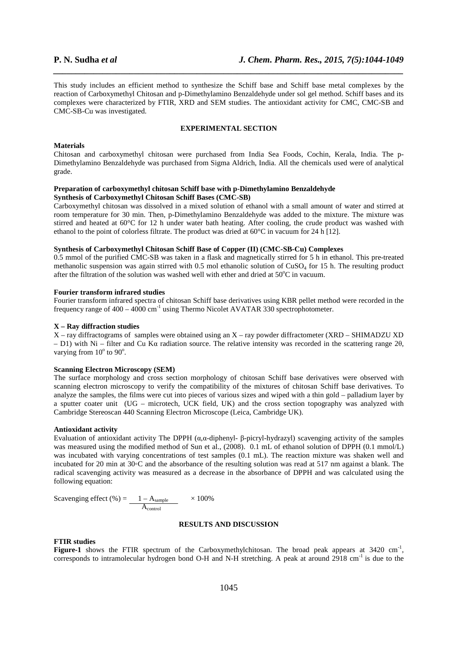This study includes an efficient method to synthesize the Schiff base and Schiff base metal complexes by the reaction of Carboxymethyl Chitosan and p-Dimethylamino Benzaldehyde under sol gel method. Schiff bases and its complexes were characterized by FTIR, XRD and SEM studies. The antioxidant activity for CMC, CMC-SB and CMC-SB-Cu was investigated.

*\_\_\_\_\_\_\_\_\_\_\_\_\_\_\_\_\_\_\_\_\_\_\_\_\_\_\_\_\_\_\_\_\_\_\_\_\_\_\_\_\_\_\_\_\_\_\_\_\_\_\_\_\_\_\_\_\_\_\_\_\_\_\_\_\_\_\_\_\_\_\_\_\_\_\_\_\_\_*

#### **EXPERIMENTAL SECTION**

#### **Materials**

Chitosan and carboxymethyl chitosan were purchased from India Sea Foods, Cochin, Kerala, India. The p-Dimethylamino Benzaldehyde was purchased from Sigma Aldrich, India. All the chemicals used were of analytical grade.

#### **Preparation of carboxymethyl chitosan Schiff base with p-Dimethylamino Benzaldehyde Synthesis of Carboxymethyl Chitosan Schiff Bases (CMC-SB)**

Carboxymethyl chitosan was dissolved in a mixed solution of ethanol with a small amount of water and stirred at room temperature for 30 min. Then, p-Dimethylamino Benzaldehyde was added to the mixture. The mixture was stirred and heated at 60°C for 12 h under water bath heating. After cooling, the crude product was washed with ethanol to the point of colorless filtrate. The product was dried at  $60^{\circ}$ C in vacuum for 24 h [12].

# **Synthesis of Carboxymethyl Chitosan Schiff Base of Copper (II) (CMC-SB-Cu) Complexes**

0.5 mmol of the purified CMC-SB was taken in a flask and magnetically stirred for 5 h in ethanol. This pre-treated methanolic suspension was again stirred with 0.5 mol ethanolic solution of  $CuSO<sub>4</sub>$  for 15 h. The resulting product after the filtration of the solution was washed well with ether and dried at  $50^{\circ}$ C in vacuum.

#### **Fourier transform infrared studies**

Fourier transform infrared spectra of chitosan Schiff base derivatives using KBR pellet method were recorded in the frequency range of  $400 - 4000$  cm<sup>-1</sup> using Thermo Nicolet AVATAR 330 spectrophotometer.

### **X – Ray diffraction studies**

X – ray diffractograms of samples were obtained using an X – ray powder diffractometer (XRD – SHIMADZU XD – D1) with Ni – filter and Cu Kα radiation source. The relative intensity was recorded in the scattering range 2θ, varying from  $10^{\circ}$  to  $90^{\circ}$ .

### **Scanning Electron Microscopy (SEM)**

The surface morphology and cross section morphology of chitosan Schiff base derivatives were observed with scanning electron microscopy to verify the compatibility of the mixtures of chitosan Schiff base derivatives. To analyze the samples, the films were cut into pieces of various sizes and wiped with a thin gold – palladium layer by a sputter coater unit (UG – microtech, UCK field, UK) and the cross section topography was analyzed with Cambridge Stereoscan 440 Scanning Electron Microscope (Leica, Cambridge UK).

#### **Antioxidant activity**

Evaluation of antioxidant activity The DPPH (α,α-diphenyl- β-picryl-hydrazyl) scavenging activity of the samples was measured using the modified method of Sun et al., (2008). 0.1 mL of ethanol solution of DPPH (0.1 mmol/L) was incubated with varying concentrations of test samples (0.1 mL). The reaction mixture was shaken well and incubated for 20 min at 30◦C and the absorbance of the resulting solution was read at 517 nm against a blank. The radical scavenging activity was measured as a decrease in the absorbance of DPPH and was calculated using the following equation:

Scavenging effect (%) = 
$$
\frac{1 - A_{sample}}{A_{control}} \times 100\%
$$

#### **RESULTS AND DISCUSSION**

#### **FTIR studies**

Figure-1 shows the FTIR spectrum of the Carboxymethylchitosan. The broad peak appears at 3420 cm<sup>-1</sup>, corresponds to intramolecular hydrogen bond O-H and N-H stretching. A peak at around 2918 cm<sup>-1</sup> is due to the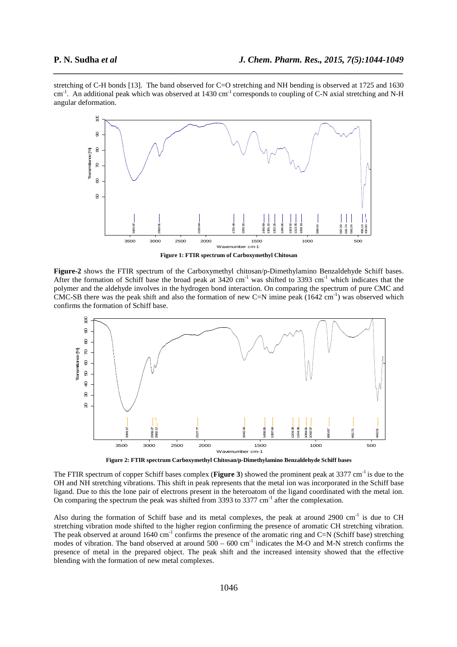stretching of C-H bonds [13]. The band observed for C=O stretching and NH bending is observed at 1725 and 1630 cm<sup>-1</sup>. An additional peak which was observed at 1430 cm<sup>-1</sup> corresponds to coupling of C-N axial stretching and N-H angular deformation.

*\_\_\_\_\_\_\_\_\_\_\_\_\_\_\_\_\_\_\_\_\_\_\_\_\_\_\_\_\_\_\_\_\_\_\_\_\_\_\_\_\_\_\_\_\_\_\_\_\_\_\_\_\_\_\_\_\_\_\_\_\_\_\_\_\_\_\_\_\_\_\_\_\_\_\_\_\_\_*



**Figure-2** shows the FTIR spectrum of the Carboxymethyl chitosan/p-Dimethylamino Benzaldehyde Schiff bases. After the formation of Schiff base the broad peak at  $3420 \text{ cm}^{-1}$  was shifted to  $3393 \text{ cm}^{-1}$  which indicates that the polymer and the aldehyde involves in the hydrogen bond interaction. On comparing the spectrum of pure CMC and CMC-SB there was the peak shift and also the formation of new C=N imine peak  $(1642 \text{ cm}^{-1})$  was observed which confirms the formation of Schiff base.



**Figure 2: FTIR spectrum Carboxymethyl Chitosan/p-Dimethylamino Benzaldehyde Schiff bases** 

The FTIR spectrum of copper Schiff bases complex (**Figure 3**) showed the prominent peak at 3377 cm<sup>-1</sup> is due to the OH and NH stretching vibrations. This shift in peak represents that the metal ion was incorporated in the Schiff base ligand. Due to this the lone pair of electrons present in the heteroatom of the ligand coordinated with the metal ion. On comparing the spectrum the peak was shifted from 3393 to 3377  $cm<sup>-1</sup>$  after the complexation.

Also during the formation of Schiff base and its metal complexes, the peak at around 2900 cm<sup>-1</sup> is due to CH stretching vibration mode shifted to the higher region confirming the presence of aromatic CH stretching vibration. The peak observed at around  $1640 \text{ cm}^{-1}$  confirms the presence of the aromatic ring and C=N (Schiff base) stretching modes of vibration. The band observed at around  $500 - 600$  cm<sup>-1</sup> indicates the M-O and M-N stretch confirms the presence of metal in the prepared object. The peak shift and the increased intensity showed that the effective blending with the formation of new metal complexes.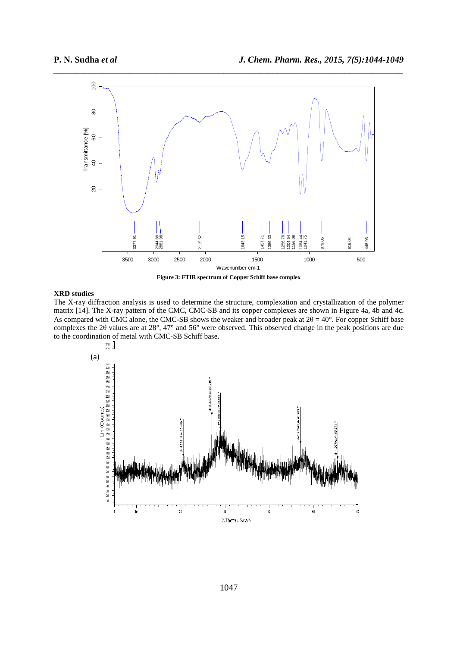

*\_\_\_\_\_\_\_\_\_\_\_\_\_\_\_\_\_\_\_\_\_\_\_\_\_\_\_\_\_\_\_\_\_\_\_\_\_\_\_\_\_\_\_\_\_\_\_\_\_\_\_\_\_\_\_\_\_\_\_\_\_\_\_\_\_\_\_\_\_\_\_\_\_\_\_\_\_\_*



## **XRD studies**

The X-ray diffraction analysis is used to determine the structure, complexation and crystallization of the polymer matrix [14]. The X-ray pattern of the CMC, CMC-SB and its copper complexes are shown in Figure 4a, 4b and 4c. As compared with CMC alone, the CMC-SB shows the weaker and broader peak at  $2\theta = 40^\circ$ . For copper Schiff base complexes the 2θ values are at 28°, 47° and 56° were observed. This observed change in the peak positions are due to the coordination of metal with CMC-SB Schiff base.<br> $\lim_{n \to \infty} \frac{1}{n}$ 

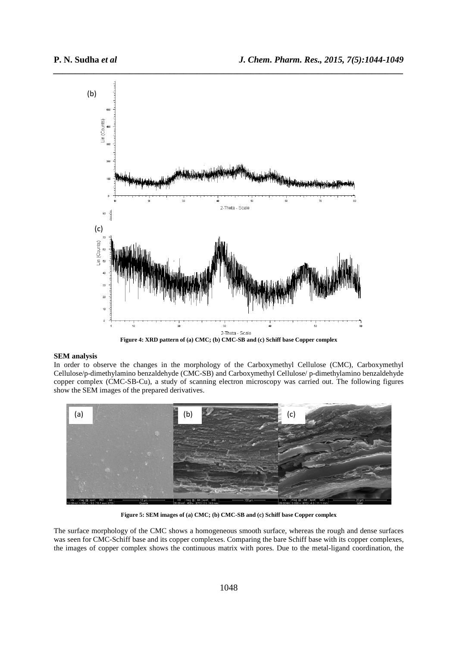

*\_\_\_\_\_\_\_\_\_\_\_\_\_\_\_\_\_\_\_\_\_\_\_\_\_\_\_\_\_\_\_\_\_\_\_\_\_\_\_\_\_\_\_\_\_\_\_\_\_\_\_\_\_\_\_\_\_\_\_\_\_\_\_\_\_\_\_\_\_\_\_\_\_\_\_\_\_\_*

**Figure 4: XRD pattern of (a) CMC; (b) CMC-SB and (c) Schiff base Copper complex** 

# **SEM analysis**

In order to observe the changes in the morphology of the Carboxymethyl Cellulose (CMC), Carboxymethyl Cellulose/p-dimethylamino benzaldehyde (CMC-SB) and Carboxymethyl Cellulose/ p-dimethylamino benzaldehyde copper complex (CMC-SB-Cu), a study of scanning electron microscopy was carried out. The following figures show the SEM images of the prepared derivatives.



**Figure 5: SEM images of (a) CMC; (b) CMC-SB and (c) Schiff base Copper complex** 

The surface morphology of the CMC shows a homogeneous smooth surface, whereas the rough and dense surfaces was seen for CMC-Schiff base and its copper complexes. Comparing the bare Schiff base with its copper complexes, the images of copper complex shows the continuous matrix with pores. Due to the metal-ligand coordination, the